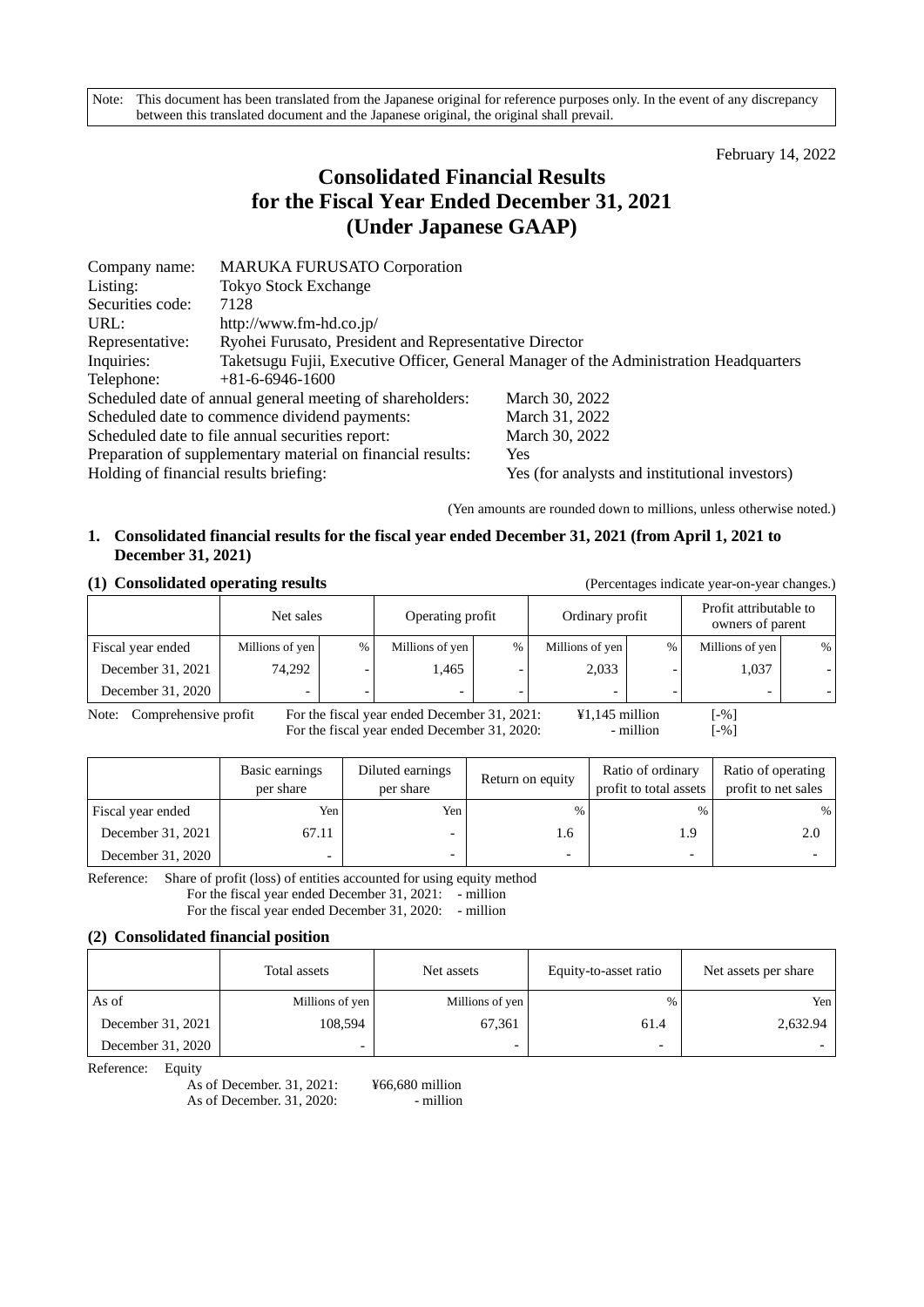Note: This document has been translated from the Japanese original for reference purposes only. In the event of any discrepancy between this translated document and the Japanese original, the original shall prevail.

February 14, 2022

# **Consolidated Financial Results for the Fiscal Year Ended December 31, 2021 (Under Japanese GAAP)**

| Company name:                                                             | <b>MARUKA FURUSATO Corporation</b>                          |                                                                                        |  |  |  |  |
|---------------------------------------------------------------------------|-------------------------------------------------------------|----------------------------------------------------------------------------------------|--|--|--|--|
| Listing:                                                                  | <b>Tokyo Stock Exchange</b>                                 |                                                                                        |  |  |  |  |
| Securities code:                                                          | 7128                                                        |                                                                                        |  |  |  |  |
| URL:                                                                      | http://www.fm-hd.co.jp/                                     |                                                                                        |  |  |  |  |
| Ryohei Furusato, President and Representative Director<br>Representative: |                                                             |                                                                                        |  |  |  |  |
| Inquiries:                                                                |                                                             | Taketsugu Fujii, Executive Officer, General Manager of the Administration Headquarters |  |  |  |  |
| Telephone:                                                                | $+81-6-6946-1600$                                           |                                                                                        |  |  |  |  |
|                                                                           | Scheduled date of annual general meeting of shareholders:   | March 30, 2022                                                                         |  |  |  |  |
|                                                                           | Scheduled date to commence dividend payments:               | March 31, 2022                                                                         |  |  |  |  |
|                                                                           | Scheduled date to file annual securities report:            | March 30, 2022                                                                         |  |  |  |  |
|                                                                           | Preparation of supplementary material on financial results: | Yes                                                                                    |  |  |  |  |
| Holding of financial results briefing:                                    |                                                             | Yes (for analysts and institutional investors)                                         |  |  |  |  |

(Yen amounts are rounded down to millions, unless otherwise noted.)

## **1. Consolidated financial results for the fiscal year ended December 31, 2021 (from April 1, 2021 to December 31, 2021)**

## **(1) Consolidated operating results** (Percentages indicate year-on-year changes.)

|                               | Net sales                        | Operating profit |                                              |               | Ordinary profit                     |   | Profit attributable to<br>owners of parent |   |
|-------------------------------|----------------------------------|------------------|----------------------------------------------|---------------|-------------------------------------|---|--------------------------------------------|---|
| Fiscal year ended             | Millions of yen<br>$\frac{0}{6}$ |                  | Millions of yen                              | $\frac{0}{0}$ | Millions of yen                     | % | Millions of yen                            | % |
| December 31, 2021             | 74,292                           |                  | l,465                                        |               | 2,033                               |   | 1,037                                      |   |
| December 31, 2020             | -                                |                  |                                              |               |                                     |   | -                                          |   |
| Comprehensive profit<br>Note: |                                  |                  | For the fiscal year ended December 31, 2021: |               | $\text{\textsterling}1,145$ million |   | $-96$ ]                                    |   |

For the fiscal year ended December 31, 2020: - million

| ۰, |  |
|----|--|

|                   | Basic earnings<br>per share | Diluted earnings<br>per share | Return on equity | Ratio of ordinary<br>profit to total assets | Ratio of operating<br>profit to net sales |
|-------------------|-----------------------------|-------------------------------|------------------|---------------------------------------------|-------------------------------------------|
| Fiscal year ended | Yen                         | Yen.                          | $\frac{0}{0}$    | $\%$                                        | %                                         |
| December 31, 2021 | 67.11                       | $\overline{\phantom{0}}$      | 1.6              | 1.9                                         | 2.0                                       |
| December 31, 2020 | $\overline{\phantom{0}}$    |                               | -                | $\overline{\phantom{0}}$                    |                                           |

Reference: Share of profit (loss) of entities accounted for using equity method For the fiscal year ended December 31, 2021:  $\overline{\phantom{a}}$  - million For the fiscal year ended December 31, 2020: - million

## **(2) Consolidated financial position**

|                   | Total assets    | Net assets      | Equity-to-asset ratio    | Net assets per share |
|-------------------|-----------------|-----------------|--------------------------|----------------------|
| As of             | Millions of yen | Millions of yen | $\%$                     | Yen                  |
| December 31, 2021 | 108,594         | 67.361          | 61.4                     | 2,632.94             |
| December 31, 2020 |                 |                 | $\overline{\phantom{0}}$ |                      |

Reference: Equity

As of December. 31, 2021: ¥66,680 million As of December. 31, 2020: - million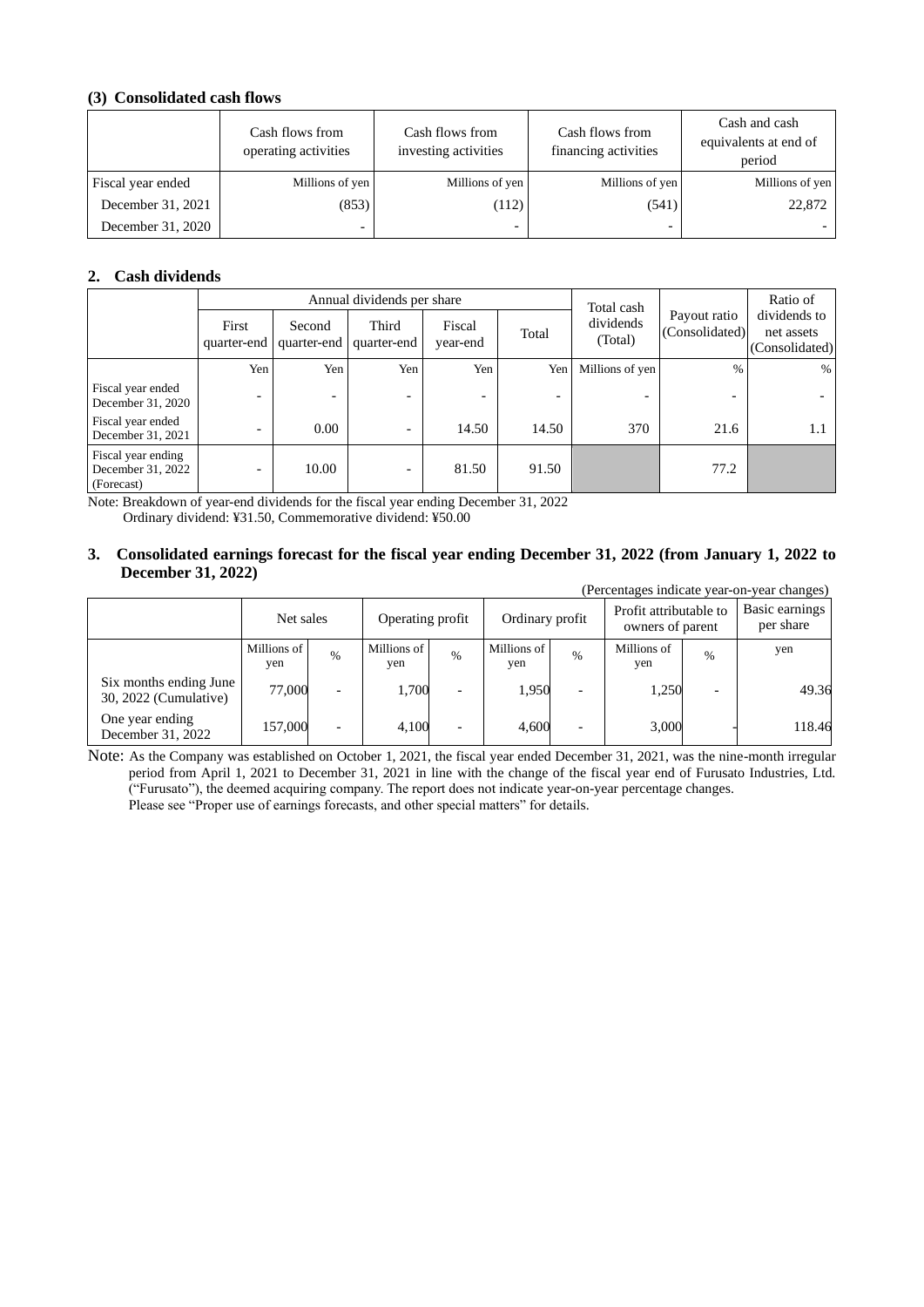## **(3) Consolidated cash flows**

|                   | Cash flows from<br>operating activities | Cash flows from<br>investing activities | Cash flows from<br>financing activities | Cash and cash<br>equivalents at end of<br>period |
|-------------------|-----------------------------------------|-----------------------------------------|-----------------------------------------|--------------------------------------------------|
| Fiscal year ended | Millions of yen                         | Millions of yen                         | Millions of yen                         | Millions of yen                                  |
| December 31, 2021 | (853)                                   | (112)                                   | (541)                                   | 22,872                                           |
| December 31, 2020 |                                         |                                         | $\overline{\phantom{0}}$                |                                                  |

## **2. Cash dividends**

|                                                       |                          |                          | Annual dividends per share |                          | Total cash |                      | Ratio of                       |                                              |
|-------------------------------------------------------|--------------------------|--------------------------|----------------------------|--------------------------|------------|----------------------|--------------------------------|----------------------------------------------|
|                                                       | First<br>quarter-end     | Second<br>quarter-end    | Third<br>quarter-end       | Fiscal<br>year-end       | Total      | dividends<br>(Total) | Payout ratio<br>(Consolidated) | dividends to<br>net assets<br>(Consolidated) |
|                                                       | Yen                      | Yen                      | Yen                        | Yen                      | Yen        | Millions of yen      | $\%$                           | $\%$                                         |
| Fiscal year ended<br>December 31, 2020                | $\overline{\phantom{a}}$ | $\overline{\phantom{a}}$ | ٠                          | $\overline{\phantom{0}}$ |            |                      | $\overline{\phantom{0}}$       |                                              |
| Fiscal year ended<br>December 31, 2021                |                          | 0.00                     | $\overline{\phantom{0}}$   | 14.50                    | 14.50      | 370                  | 21.6                           | 1.1                                          |
| Fiscal year ending<br>December 31, 2022<br>(Forecast) | $\overline{\phantom{0}}$ | 10.00                    | -                          | 81.50                    | 91.50      |                      | 77.2                           |                                              |

Note: Breakdown of year-end dividends for the fiscal year ending December 31, 2022 Ordinary dividend: ¥31.50, Commemorative dividend: ¥50.00

#### **3. Consolidated earnings forecast for the fiscal year ending December 31, 2022 (from January 1, 2022 to December 31, 2022)** (Percentages indicate year-on-year changes)

|                                                 |                    |                          |                                     |                          |                    |                                            |                    |                             | (Felcentages mulcate yeal-on-yeal changes) |
|-------------------------------------------------|--------------------|--------------------------|-------------------------------------|--------------------------|--------------------|--------------------------------------------|--------------------|-----------------------------|--------------------------------------------|
|                                                 | Net sales          |                          | Ordinary profit<br>Operating profit |                          |                    | Profit attributable to<br>owners of parent |                    | Basic earnings<br>per share |                                            |
|                                                 | Millions of<br>yen | $\%$                     | Millions of<br>yen                  | %                        | Millions of<br>yen | $\%$                                       | Millions of<br>yen | $\%$                        | yen                                        |
| Six months ending June<br>30, 2022 (Cumulative) | 77,000             | $\overline{\phantom{0}}$ | 1.700                               | $\overline{\phantom{0}}$ | 1,950              | $\overline{\phantom{0}}$                   | 1,250              |                             | 49.36                                      |
| One year ending<br>December 31, 2022            | 157,000            | $\overline{\phantom{0}}$ | 4,100                               | $\overline{\phantom{0}}$ | 4.600              | ۰                                          | 3,000              |                             | 118.46                                     |

Note: As the Company was established on October 1, 2021, the fiscal year ended December 31, 2021, was the nine-month irregular period from April 1, 2021 to December 31, 2021 in line with the change of the fiscal year end of Furusato Industries, Ltd. ("Furusato"), the deemed acquiring company. The report does not indicate year-on-year percentage changes. Please see "Proper use of earnings forecasts, and other special matters" for details.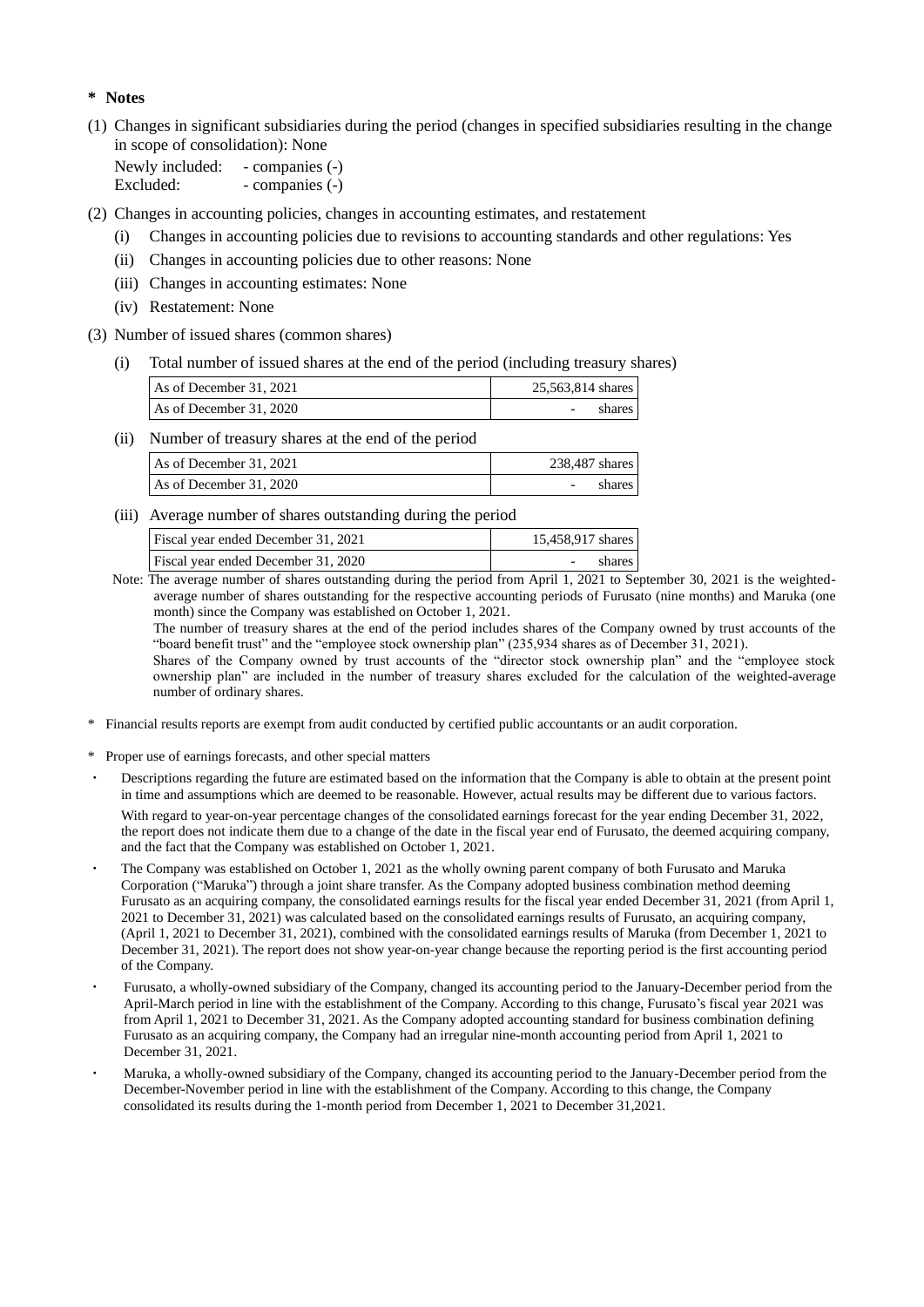## **\* Notes**

(1) Changes in significant subsidiaries during the period (changes in specified subsidiaries resulting in the change in scope of consolidation): None

Newly included: - companies (-) Excluded: - companies (-)

(2) Changes in accounting policies, changes in accounting estimates, and restatement

- (i) Changes in accounting policies due to revisions to accounting standards and other regulations: Yes
- (ii) Changes in accounting policies due to other reasons: None
- (iii) Changes in accounting estimates: None
- (iv) Restatement: None
- (3) Number of issued shares (common shares)
	- (i) Total number of issued shares at the end of the period (including treasury shares)

| As of December 31, 2021 | 25,563,814 shares |
|-------------------------|-------------------|
| As of December 31, 2020 | -                 |

(ii) Number of treasury shares at the end of the period

| As of December 31, 2021 | 238,487 shares |
|-------------------------|----------------|
| As of December 31, 2020 | shares         |

(iii) Average number of shares outstanding during the period

| Fiscal year ended December 31, 2021 | 15,458,917 shares |
|-------------------------------------|-------------------|
| Fiscal year ended December 31, 2020 | shares            |
| $-$                                 | .                 |

 Note: The average number of shares outstanding during the period from April 1, 2021 to September 30, 2021 is the weightedaverage number of shares outstanding for the respective accounting periods of Furusato (nine months) and Maruka (one month) since the Company was established on October 1, 2021.

The number of treasury shares at the end of the period includes shares of the Company owned by trust accounts of the "board benefit trust" and the "employee stock ownership plan" (235,934 shares as of December 31, 2021). Shares of the Company owned by trust accounts of the "director stock ownership plan" and the "employee stock

ownership plan" are included in the number of treasury shares excluded for the calculation of the weighted-average number of ordinary shares.

- \* Financial results reports are exempt from audit conducted by certified public accountants or an audit corporation.
- \* Proper use of earnings forecasts, and other special matters
- Descriptions regarding the future are estimated based on the information that the Company is able to obtain at the present point in time and assumptions which are deemed to be reasonable. However, actual results may be different due to various factors.

With regard to year-on-year percentage changes of the consolidated earnings forecast for the year ending December 31, 2022, the report does not indicate them due to a change of the date in the fiscal year end of Furusato, the deemed acquiring company, and the fact that the Company was established on October 1, 2021.

- The Company was established on October 1, 2021 as the wholly owning parent company of both Furusato and Maruka Corporation ("Maruka") through a joint share transfer. As the Company adopted business combination method deeming Furusato as an acquiring company, the consolidated earnings results for the fiscal year ended December 31, 2021 (from April 1, 2021 to December 31, 2021) was calculated based on the consolidated earnings results of Furusato, an acquiring company, (April 1, 2021 to December 31, 2021), combined with the consolidated earnings results of Maruka (from December 1, 2021 to December 31, 2021). The report does not show year-on-year change because the reporting period is the first accounting period of the Company.
- Furusato, a wholly-owned subsidiary of the Company, changed its accounting period to the January-December period from the April-March period in line with the establishment of the Company. According to this change, Furusato's fiscal year 2021 was from April 1, 2021 to December 31, 2021. As the Company adopted accounting standard for business combination defining Furusato as an acquiring company, the Company had an irregular nine-month accounting period from April 1, 2021 to December 31, 2021.
- Maruka, a wholly-owned subsidiary of the Company, changed its accounting period to the January-December period from the December-November period in line with the establishment of the Company. According to this change, the Company consolidated its results during the 1-month period from December 1, 2021 to December 31,2021.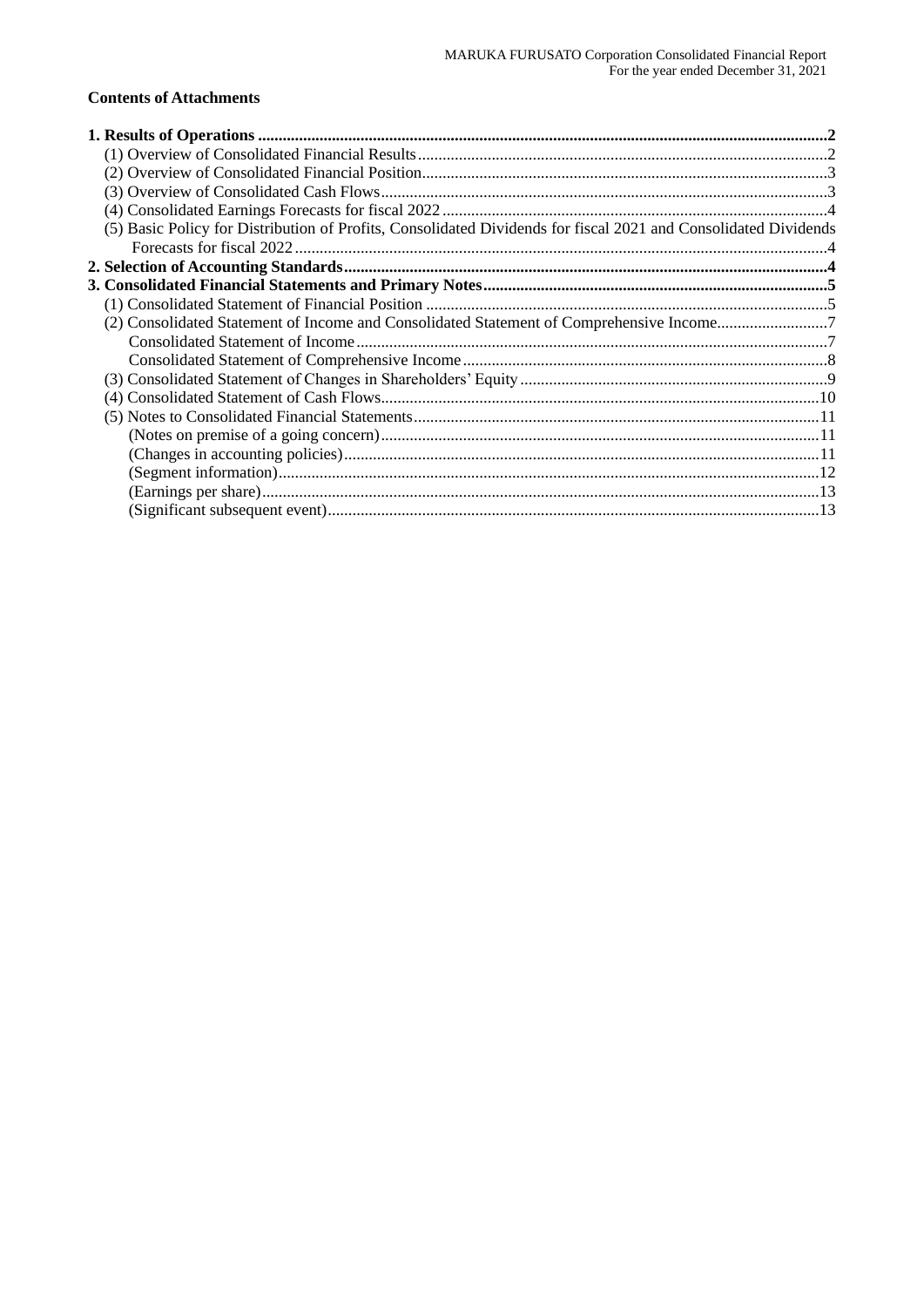## **Contents of Attachments**

| (5) Basic Policy for Distribution of Profits, Consolidated Dividends for fiscal 2021 and Consolidated Dividends |  |
|-----------------------------------------------------------------------------------------------------------------|--|
|                                                                                                                 |  |
|                                                                                                                 |  |
|                                                                                                                 |  |
|                                                                                                                 |  |
| (2) Consolidated Statement of Income and Consolidated Statement of Comprehensive Income7                        |  |
|                                                                                                                 |  |
|                                                                                                                 |  |
|                                                                                                                 |  |
|                                                                                                                 |  |
|                                                                                                                 |  |
|                                                                                                                 |  |
|                                                                                                                 |  |
|                                                                                                                 |  |
|                                                                                                                 |  |
|                                                                                                                 |  |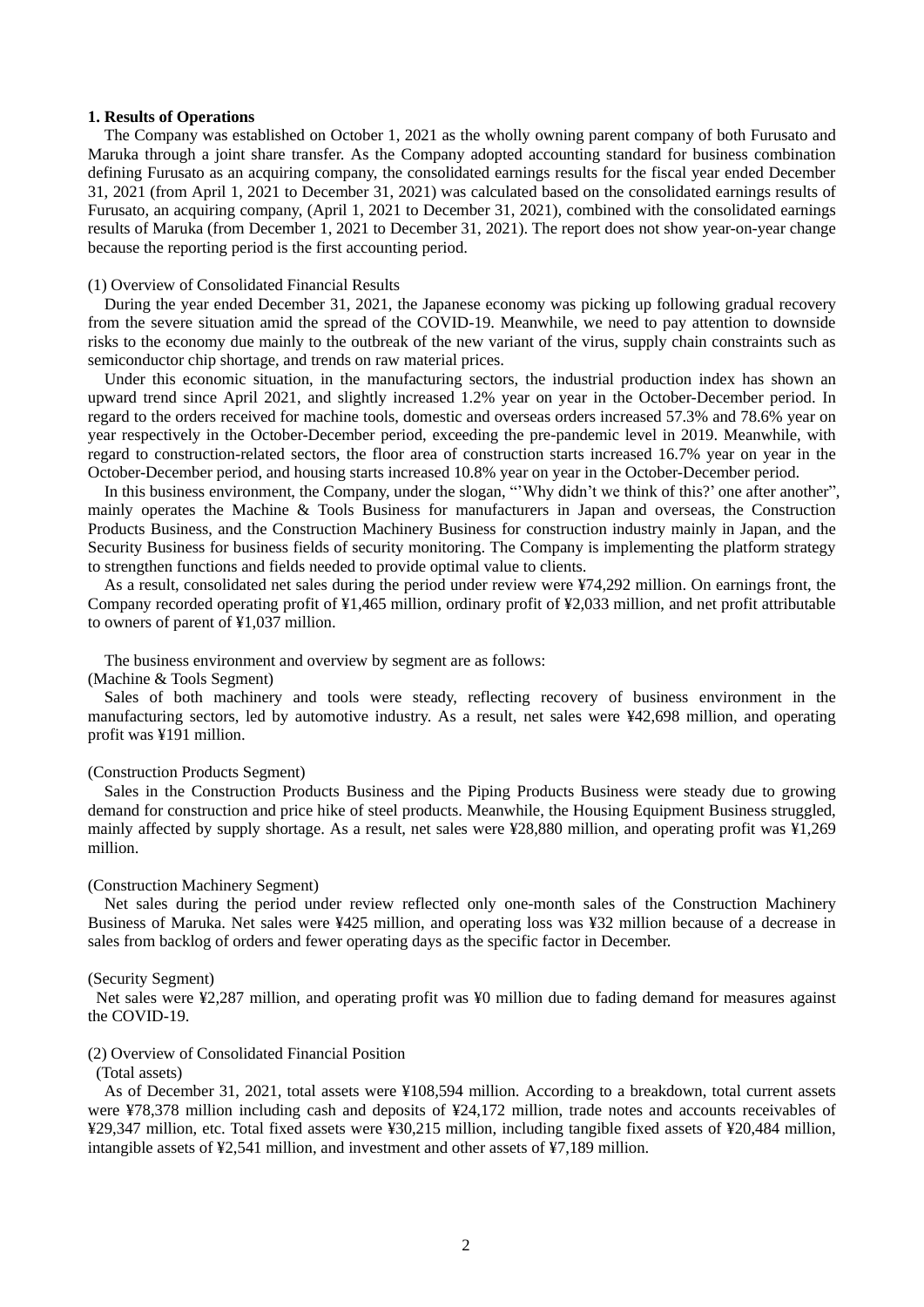#### **1. Results of Operations**

The Company was established on October 1, 2021 as the wholly owning parent company of both Furusato and Maruka through a joint share transfer. As the Company adopted accounting standard for business combination defining Furusato as an acquiring company, the consolidated earnings results for the fiscal year ended December 31, 2021 (from April 1, 2021 to December 31, 2021) was calculated based on the consolidated earnings results of Furusato, an acquiring company, (April 1, 2021 to December 31, 2021), combined with the consolidated earnings results of Maruka (from December 1, 2021 to December 31, 2021). The report does not show year-on-year change because the reporting period is the first accounting period.

#### (1) Overview of Consolidated Financial Results

During the year ended December 31, 2021, the Japanese economy was picking up following gradual recovery from the severe situation amid the spread of the COVID-19. Meanwhile, we need to pay attention to downside risks to the economy due mainly to the outbreak of the new variant of the virus, supply chain constraints such as semiconductor chip shortage, and trends on raw material prices.

Under this economic situation, in the manufacturing sectors, the industrial production index has shown an upward trend since April 2021, and slightly increased 1.2% year on year in the October-December period. In regard to the orders received for machine tools, domestic and overseas orders increased 57.3% and 78.6% year on year respectively in the October-December period, exceeding the pre-pandemic level in 2019. Meanwhile, with regard to construction-related sectors, the floor area of construction starts increased 16.7% year on year in the October-December period, and housing starts increased 10.8% year on year in the October-December period.

In this business environment, the Company, under the slogan, "'Why didn't we think of this?' one after another", mainly operates the Machine & Tools Business for manufacturers in Japan and overseas, the Construction Products Business, and the Construction Machinery Business for construction industry mainly in Japan, and the Security Business for business fields of security monitoring. The Company is implementing the platform strategy to strengthen functions and fields needed to provide optimal value to clients.

As a result, consolidated net sales during the period under review were ¥74,292 million. On earnings front, the Company recorded operating profit of ¥1,465 million, ordinary profit of ¥2,033 million, and net profit attributable to owners of parent of ¥1,037 million.

The business environment and overview by segment are as follows:

#### (Machine & Tools Segment)

Sales of both machinery and tools were steady, reflecting recovery of business environment in the manufacturing sectors, led by automotive industry. As a result, net sales were ¥42,698 million, and operating profit was ¥191 million.

### (Construction Products Segment)

Sales in the Construction Products Business and the Piping Products Business were steady due to growing demand for construction and price hike of steel products. Meanwhile, the Housing Equipment Business struggled, mainly affected by supply shortage. As a result, net sales were ¥28,880 million, and operating profit was ¥1,269 million.

#### (Construction Machinery Segment)

Net sales during the period under review reflected only one-month sales of the Construction Machinery Business of Maruka. Net sales were ¥425 million, and operating loss was ¥32 million because of a decrease in sales from backlog of orders and fewer operating days as the specific factor in December.

#### (Security Segment)

Net sales were ¥2,287 million, and operating profit was ¥0 million due to fading demand for measures against the COVID-19.

#### (2) Overview of Consolidated Financial Position

#### (Total assets)

As of December 31, 2021, total assets were ¥108,594 million. According to a breakdown, total current assets were ¥78,378 million including cash and deposits of ¥24,172 million, trade notes and accounts receivables of ¥29,347 million, etc. Total fixed assets were ¥30,215 million, including tangible fixed assets of ¥20,484 million, intangible assets of ¥2,541 million, and investment and other assets of ¥7,189 million.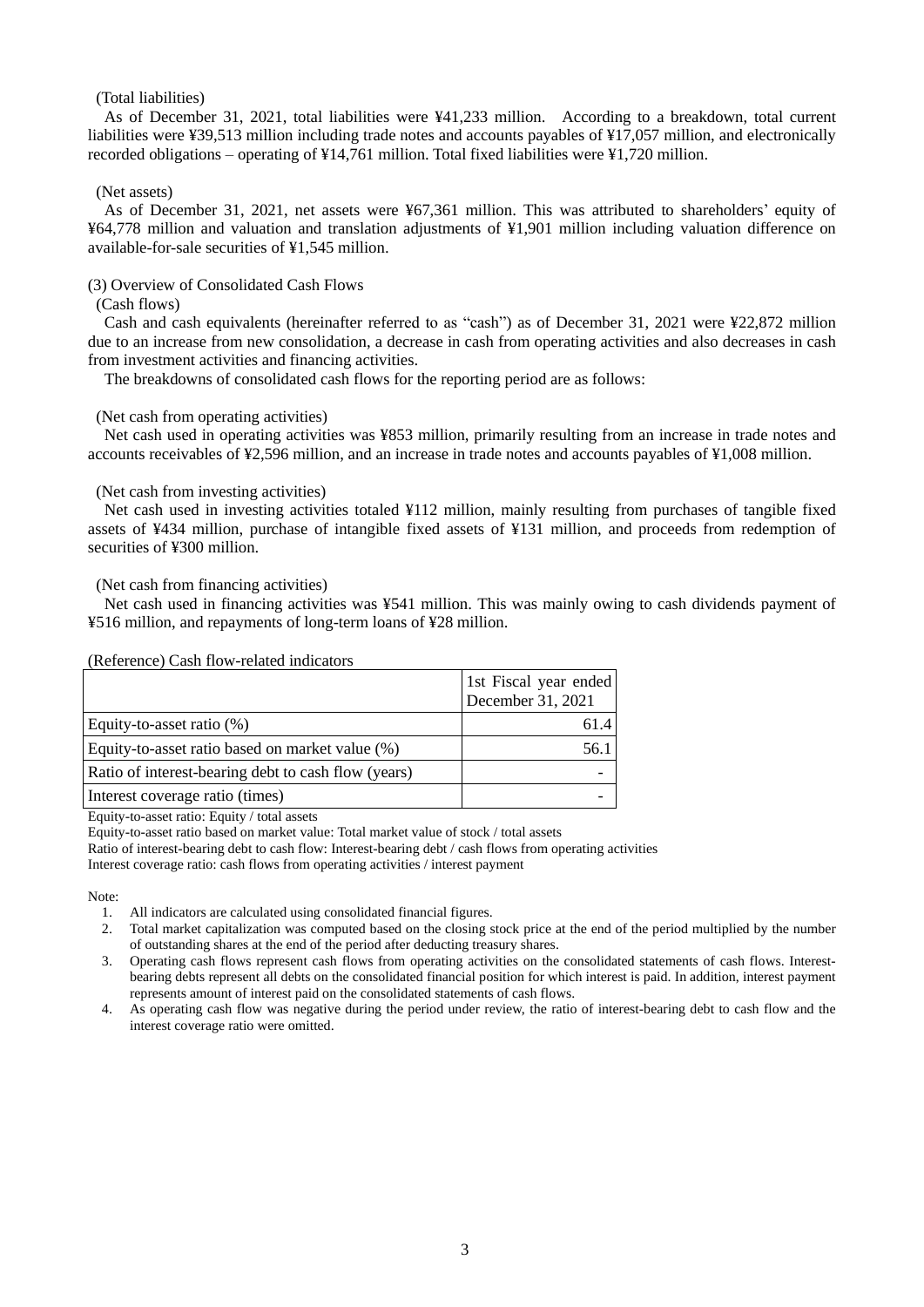## (Total liabilities)

As of December 31, 2021, total liabilities were ¥41,233 million. According to a breakdown, total current liabilities were ¥39,513 million including trade notes and accounts payables of ¥17,057 million, and electronically recorded obligations – operating of ¥14,761 million. Total fixed liabilities were ¥1,720 million.

### (Net assets)

As of December 31, 2021, net assets were ¥67,361 million. This was attributed to shareholders' equity of ¥64,778 million and valuation and translation adjustments of ¥1,901 million including valuation difference on available-for-sale securities of ¥1,545 million.

(3) Overview of Consolidated Cash Flows

### (Cash flows)

Cash and cash equivalents (hereinafter referred to as "cash") as of December 31, 2021 were ¥22,872 million due to an increase from new consolidation, a decrease in cash from operating activities and also decreases in cash from investment activities and financing activities.

The breakdowns of consolidated cash flows for the reporting period are as follows:

#### (Net cash from operating activities)

Net cash used in operating activities was ¥853 million, primarily resulting from an increase in trade notes and accounts receivables of ¥2,596 million, and an increase in trade notes and accounts payables of ¥1,008 million.

### (Net cash from investing activities)

Net cash used in investing activities totaled ¥112 million, mainly resulting from purchases of tangible fixed assets of ¥434 million, purchase of intangible fixed assets of ¥131 million, and proceeds from redemption of securities of ¥300 million.

### (Net cash from financing activities)

Net cash used in financing activities was ¥541 million. This was mainly owing to cash dividends payment of ¥516 million, and repayments of long-term loans of ¥28 million.

#### (Reference) Cash flow-related indicators

|                                                     | 1st Fiscal year ended<br>December 31, 2021 |
|-----------------------------------------------------|--------------------------------------------|
| Equity-to-asset ratio $(\%)$                        |                                            |
| Equity-to-asset ratio based on market value (%)     |                                            |
| Ratio of interest-bearing debt to cash flow (years) |                                            |
| Interest coverage ratio (times)                     |                                            |

Equity-to-asset ratio: Equity / total assets

Equity-to-asset ratio based on market value: Total market value of stock / total assets

Ratio of interest-bearing debt to cash flow: Interest-bearing debt / cash flows from operating activities Interest coverage ratio: cash flows from operating activities / interest payment

Note:

- 1. All indicators are calculated using consolidated financial figures.
- 2. Total market capitalization was computed based on the closing stock price at the end of the period multiplied by the number of outstanding shares at the end of the period after deducting treasury shares.
- 3. Operating cash flows represent cash flows from operating activities on the consolidated statements of cash flows. Interestbearing debts represent all debts on the consolidated financial position for which interest is paid. In addition, interest payment represents amount of interest paid on the consolidated statements of cash flows.
- 4. As operating cash flow was negative during the period under review, the ratio of interest-bearing debt to cash flow and the interest coverage ratio were omitted.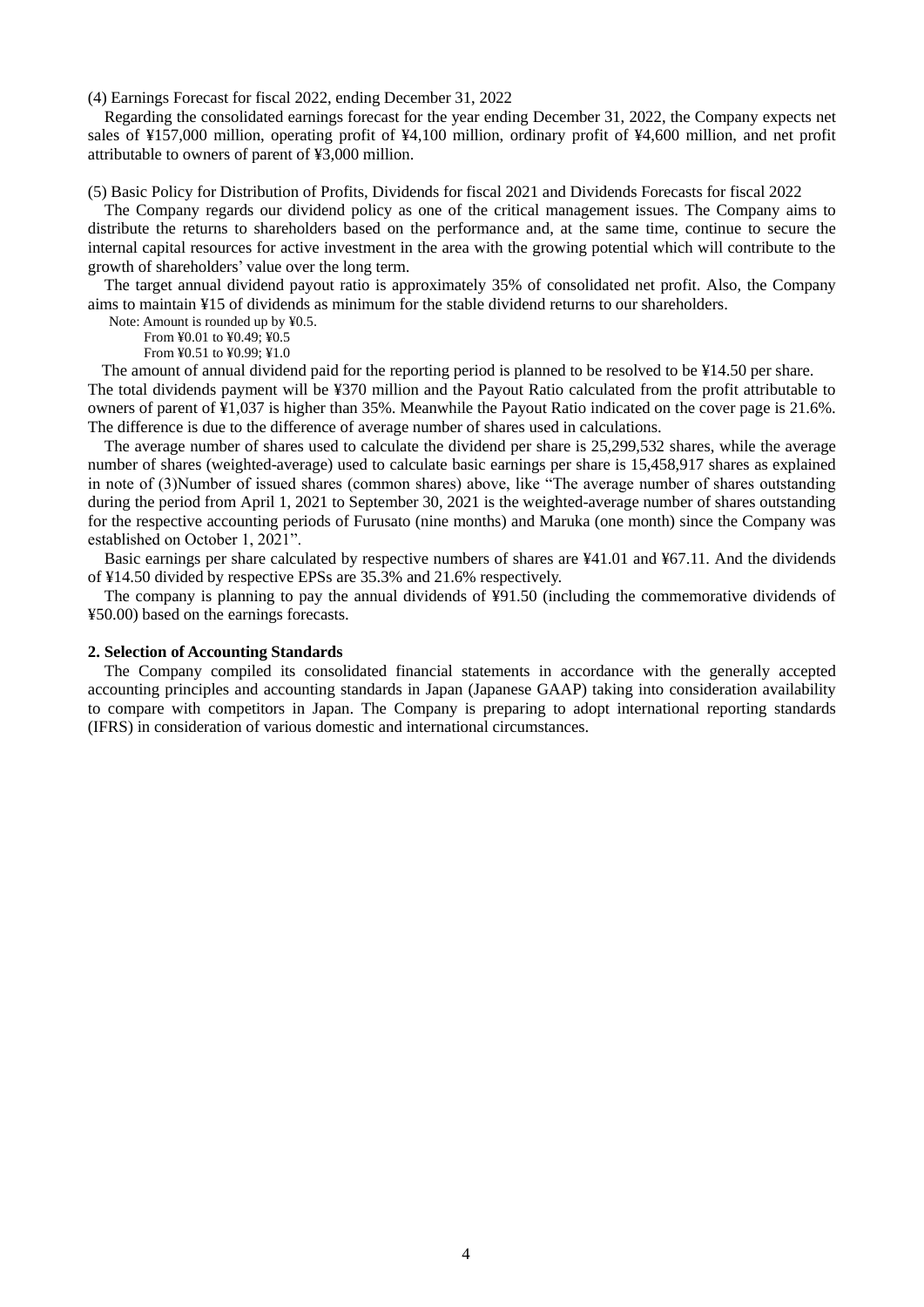(4) Earnings Forecast for fiscal 2022, ending December 31, 2022

Regarding the consolidated earnings forecast for the year ending December 31, 2022, the Company expects net sales of ¥157,000 million, operating profit of ¥4,100 million, ordinary profit of ¥4,600 million, and net profit attributable to owners of parent of ¥3,000 million.

(5) Basic Policy for Distribution of Profits, Dividends for fiscal 2021 and Dividends Forecasts for fiscal 2022

The Company regards our dividend policy as one of the critical management issues. The Company aims to distribute the returns to shareholders based on the performance and, at the same time, continue to secure the internal capital resources for active investment in the area with the growing potential which will contribute to the growth of shareholders' value over the long term.

The target annual dividend payout ratio is approximately 35% of consolidated net profit. Also, the Company aims to maintain ¥15 of dividends as minimum for the stable dividend returns to our shareholders.

Note: Amount is rounded up by ¥0.5.

From  $\frac{1}{2}0.01$  to  $\frac{1}{2}0.49$ ;  $\frac{1}{2}0.5$ 

From ¥0.51 to ¥0.99; ¥1.0

The amount of annual dividend paid for the reporting period is planned to be resolved to be ¥14.50 per share. The total dividends payment will be ¥370 million and the Payout Ratio calculated from the profit attributable to owners of parent of ¥1,037 is higher than 35%. Meanwhile the Payout Ratio indicated on the cover page is 21.6%. The difference is due to the difference of average number of shares used in calculations.

The average number of shares used to calculate the dividend per share is 25,299,532 shares, while the average number of shares (weighted-average) used to calculate basic earnings per share is 15,458,917 shares as explained in note of (3)Number of issued shares (common shares) above, like "The average number of shares outstanding during the period from April 1, 2021 to September 30, 2021 is the weighted-average number of shares outstanding for the respective accounting periods of Furusato (nine months) and Maruka (one month) since the Company was established on October 1, 2021".

Basic earnings per share calculated by respective numbers of shares are ¥41.01 and ¥67.11. And the dividends of ¥14.50 divided by respective EPSs are 35.3% and 21.6% respectively.

The company is planning to pay the annual dividends of ¥91.50 (including the commemorative dividends of ¥50.00) based on the earnings forecasts.

### **2. Selection of Accounting Standards**

The Company compiled its consolidated financial statements in accordance with the generally accepted accounting principles and accounting standards in Japan (Japanese GAAP) taking into consideration availability to compare with competitors in Japan. The Company is preparing to adopt international reporting standards (IFRS) in consideration of various domestic and international circumstances.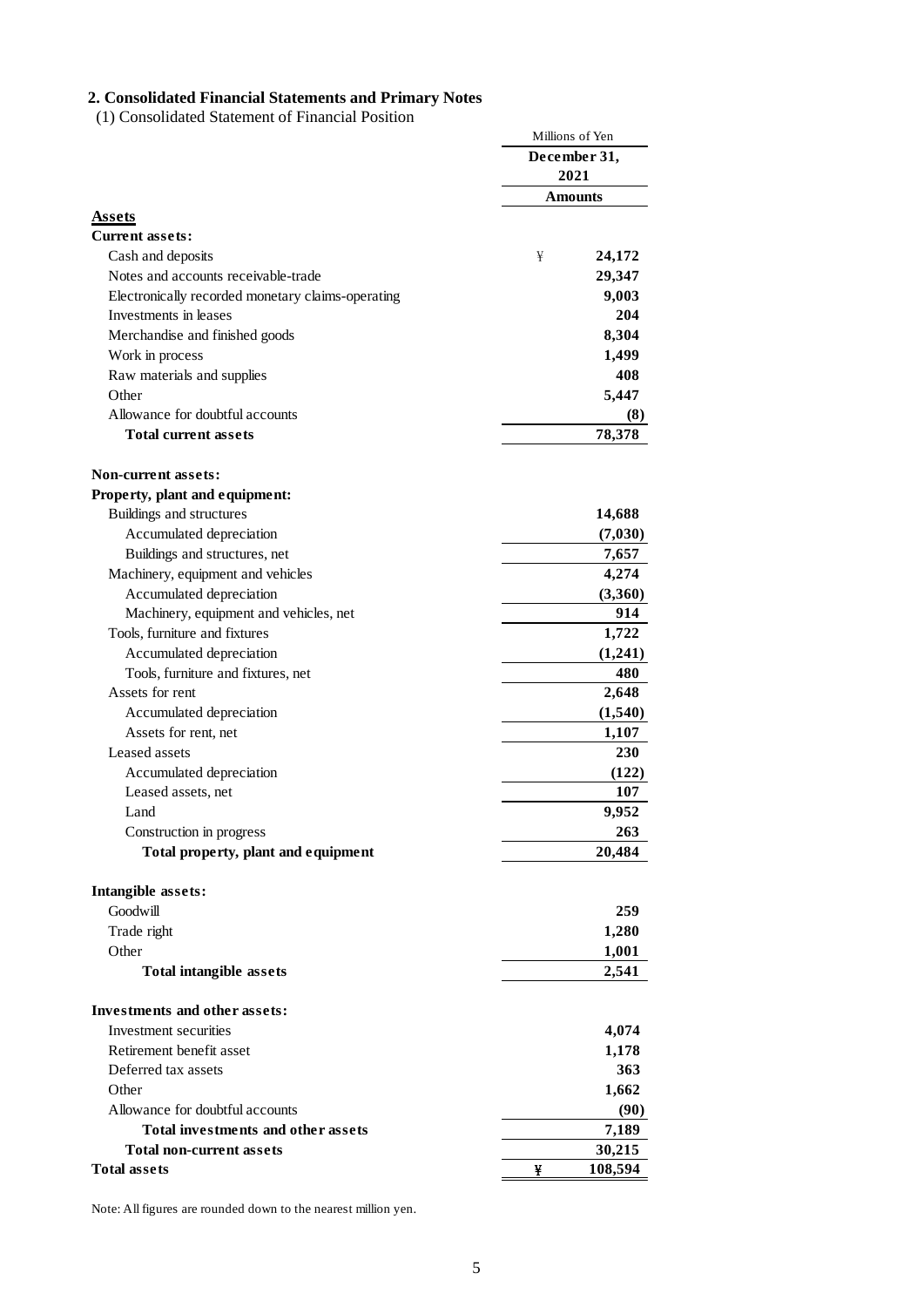### **2. Consolidated Financial Statements and Primary Notes**

(1) Consolidated Statement of Financial Position

|                                                   | Millions of Yen |
|---------------------------------------------------|-----------------|
|                                                   | December 31,    |
|                                                   | 2021            |
|                                                   | Amounts         |
| Assets                                            |                 |
| <b>Current assets:</b>                            |                 |
| Cash and deposits                                 | ¥<br>24,172     |
| Notes and accounts receivable-trade               | 29,347          |
| Electronically recorded monetary claims-operating | 9,003           |
| Investments in leases                             | 204             |
| Merchandise and finished goods                    | 8,304           |
| Work in process                                   | 1,499           |
| Raw materials and supplies                        | 408             |
| Other                                             | 5,447           |
| Allowance for doubtful accounts                   | (8)             |
| <b>Total current assets</b>                       | 78,378          |
|                                                   |                 |
| <b>Non-current assets:</b>                        |                 |
| Property, plant and equipment:                    |                 |
| Buildings and structures                          | 14,688          |
| Accumulated depreciation                          | (7,030)         |
| Buildings and structures, net                     | 7,657           |
| Machinery, equipment and vehicles                 | 4,274           |
| Accumulated depreciation                          | (3,360)         |
| Machinery, equipment and vehicles, net            | 914             |
| Tools, furniture and fixtures                     | 1,722           |
| Accumulated depreciation                          | (1,241)         |
| Tools, furniture and fixtures, net                | 480             |
| Assets for rent                                   | 2,648           |
| Accumulated depreciation                          | (1,540)         |
| Assets for rent, net                              | 1,107           |
| Leased assets                                     | 230             |
| Accumulated depreciation                          | (122)           |
| Leased assets, net                                | 107             |
| Land                                              | 9,952           |
| Construction in progress                          | 263             |
| Total property, plant and equipment               | 20,484          |
|                                                   |                 |
| Intangible assets:                                |                 |
| Goodwill                                          | 259             |
| Trade right                                       | 1,280           |
| Other                                             | 1,001           |
| <b>Total intangible assets</b>                    | 2,541           |
|                                                   |                 |
| <b>Investments and other assets:</b>              |                 |
| Investment securities                             | 4,074           |
| Retirement benefit asset                          | 1,178           |
| Deferred tax assets                               | 363             |
| Other                                             | 1,662           |
| Allowance for doubtful accounts                   | (90)            |
| <b>Total investments and other assets</b>         | 7,189           |
| Total non-current assets                          | 30,215          |
| <b>Total assets</b>                               | 108,594<br>¥    |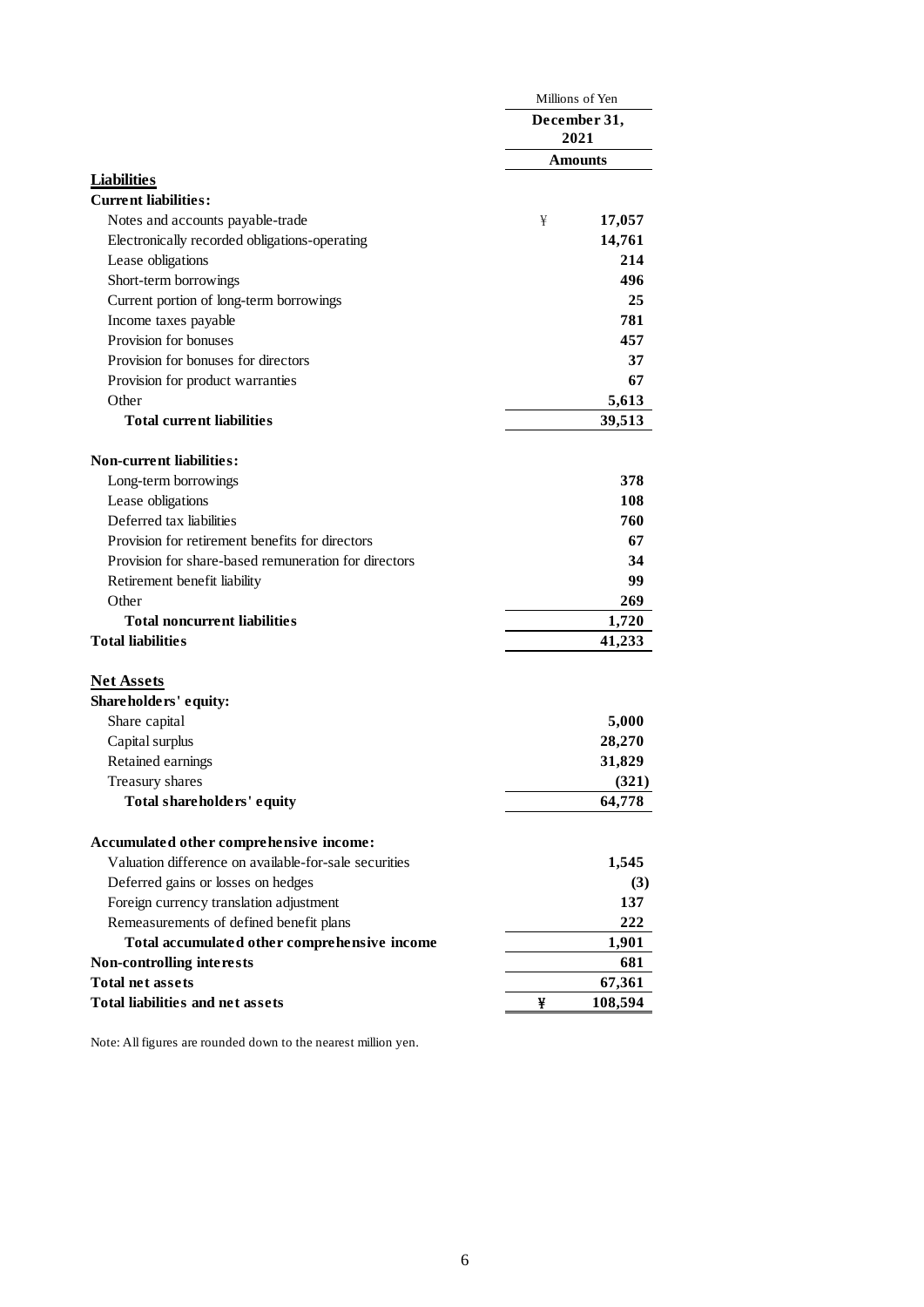|                                                       |              | Millions of Yen |  |  |
|-------------------------------------------------------|--------------|-----------------|--|--|
|                                                       | December 31, |                 |  |  |
|                                                       | 2021         |                 |  |  |
|                                                       |              | <b>Amounts</b>  |  |  |
| <b>Liabilities</b>                                    |              |                 |  |  |
| <b>Current liabilities:</b>                           |              |                 |  |  |
| Notes and accounts payable-trade                      | ¥            | 17,057          |  |  |
| Electronically recorded obligations-operating         |              | 14,761          |  |  |
| Lease obligations                                     |              | 214             |  |  |
| Short-term borrowings                                 |              | 496             |  |  |
| Current portion of long-term borrowings               |              | 25              |  |  |
| Income taxes payable                                  |              | 781             |  |  |
| Provision for bonuses                                 |              | 457             |  |  |
| Provision for bonuses for directors                   |              | 37              |  |  |
| Provision for product warranties                      |              | 67              |  |  |
| Other                                                 |              | 5,613           |  |  |
| <b>Total current liabilities</b>                      |              | 39,513          |  |  |
| <b>Non-current liabilities:</b>                       |              |                 |  |  |
| Long-term borrowings                                  |              | 378             |  |  |
| Lease obligations                                     |              | 108             |  |  |
| Deferred tax liabilities                              |              | 760             |  |  |
| Provision for retirement benefits for directors       |              | 67              |  |  |
| Provision for share-based remuneration for directors  |              | 34              |  |  |
| Retirement benefit liability                          |              | 99              |  |  |
| Other                                                 |              | 269             |  |  |
| <b>Total noncurrent liabilities</b>                   |              | 1,720           |  |  |
| <b>Total liabilities</b>                              |              | 41,233          |  |  |
|                                                       |              |                 |  |  |
| <b>Net Assets</b>                                     |              |                 |  |  |
| Shareholders' equity:                                 |              |                 |  |  |
| Share capital                                         |              | 5,000           |  |  |
| Capital surplus                                       |              | 28,270          |  |  |
| Retained earnings                                     |              | 31,829          |  |  |
| Treasury shares                                       |              | (321)           |  |  |
| Total shareholders' equity                            |              | 64,778          |  |  |
| Accumulated other comprehensive income:               |              |                 |  |  |
| Valuation difference on available-for-sale securities |              | 1,545           |  |  |
| Deferred gains or losses on hedges                    |              | (3)             |  |  |
| Foreign currency translation adjustment               |              | 137             |  |  |
| Remeasurements of defined benefit plans               |              | 222             |  |  |
| Total accumulated other comprehensive income          |              | 1,901           |  |  |
| <b>Non-controlling interests</b>                      |              | 681             |  |  |
| <b>Total net assets</b>                               |              | 67,361          |  |  |
| <b>Total liabilities and net assets</b>               | ¥            | 108,594         |  |  |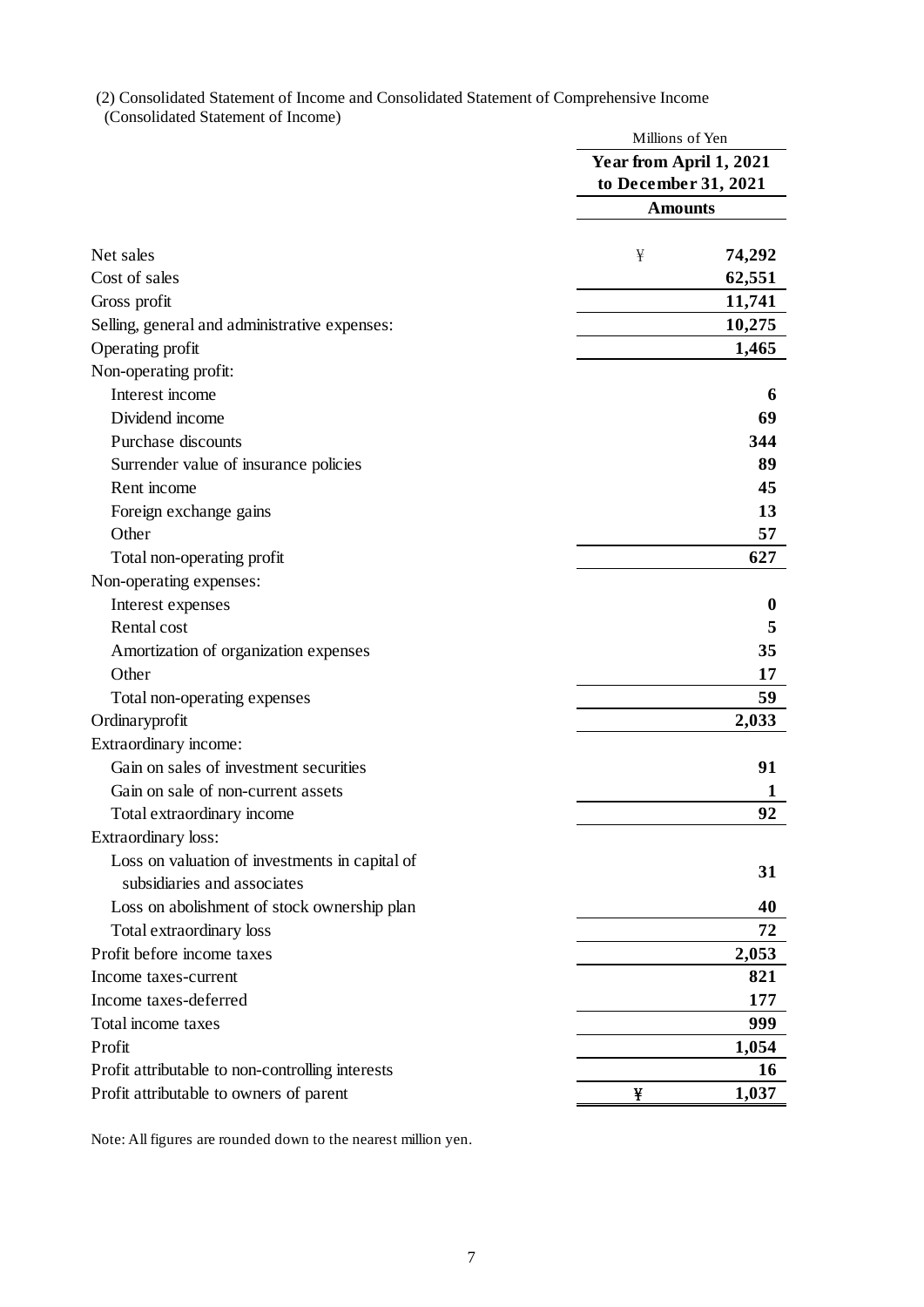(2) Consolidated Statement of Income and Consolidated Statement of Comprehensive Income (Consolidated Statement of Income)

|                                                  | Millions of Yen         |
|--------------------------------------------------|-------------------------|
|                                                  | Year from April 1, 2021 |
|                                                  | to December 31, 2021    |
|                                                  | <b>Amounts</b>          |
| Net sales                                        | 74,292<br>¥             |
| Cost of sales                                    |                         |
|                                                  | 62,551                  |
| Gross profit                                     | 11,741                  |
| Selling, general and administrative expenses:    | 10,275                  |
| Operating profit                                 | 1,465                   |
| Non-operating profit:                            |                         |
| Interest income                                  | 6                       |
| Dividend income                                  | 69                      |
| Purchase discounts                               | 344                     |
| Surrender value of insurance policies            | 89                      |
| Rent income                                      | 45                      |
| Foreign exchange gains<br>Other                  | 13<br>57                |
| Total non-operating profit                       | 627                     |
| Non-operating expenses:                          |                         |
| Interest expenses                                | $\bf{0}$                |
| Rental cost                                      | 5                       |
| Amortization of organization expenses            | 35                      |
| Other                                            | 17                      |
| Total non-operating expenses                     | 59                      |
| Ordinaryprofit                                   | 2,033                   |
| Extraordinary income:                            |                         |
| Gain on sales of investment securities           | 91                      |
| Gain on sale of non-current assets               | 1                       |
| Total extraordinary income                       | 92                      |
| Extraordinary loss:                              |                         |
| Loss on valuation of investments in capital of   |                         |
| subsidiaries and associates                      | 31                      |
| Loss on abolishment of stock ownership plan      | 40                      |
| Total extraordinary loss                         | 72                      |
| Profit before income taxes                       | 2,053                   |
| Income taxes-current                             | 821                     |
| Income taxes-deferred                            | 177                     |
| Total income taxes                               | 999                     |
| Profit                                           | 1,054                   |
| Profit attributable to non-controlling interests | 16                      |
| Profit attributable to owners of parent          | 1,037<br>¥              |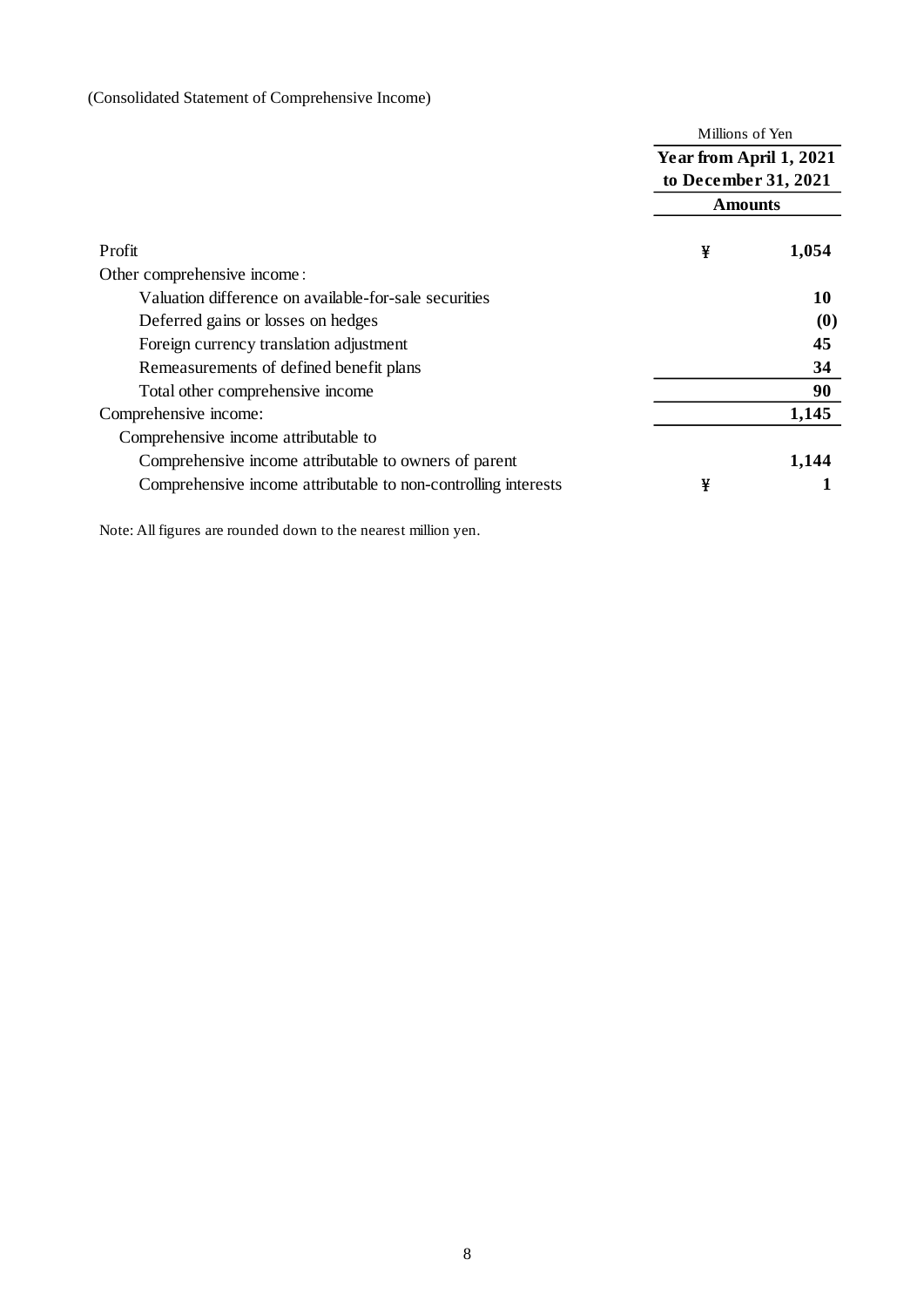(Consolidated Statement of Comprehensive Income)

|                                                                |                                                 | Millions of Yen |  |  |  |
|----------------------------------------------------------------|-------------------------------------------------|-----------------|--|--|--|
|                                                                | Year from April 1, 2021<br>to December 31, 2021 |                 |  |  |  |
|                                                                | <b>Amounts</b>                                  |                 |  |  |  |
| Profit                                                         | ¥                                               | 1,054           |  |  |  |
| Other comprehensive income:                                    |                                                 |                 |  |  |  |
| Valuation difference on available-for-sale securities          |                                                 | 10              |  |  |  |
| Deferred gains or losses on hedges                             |                                                 | (0)             |  |  |  |
| Foreign currency translation adjustment                        |                                                 | 45              |  |  |  |
| Remeasurements of defined benefit plans                        |                                                 | 34              |  |  |  |
| Total other comprehensive income                               |                                                 | 90              |  |  |  |
| Comprehensive income:                                          |                                                 | 1,145           |  |  |  |
| Comprehensive income attributable to                           |                                                 |                 |  |  |  |
| Comprehensive income attributable to owners of parent          |                                                 | 1,144           |  |  |  |
| Comprehensive income attributable to non-controlling interests | ¥                                               |                 |  |  |  |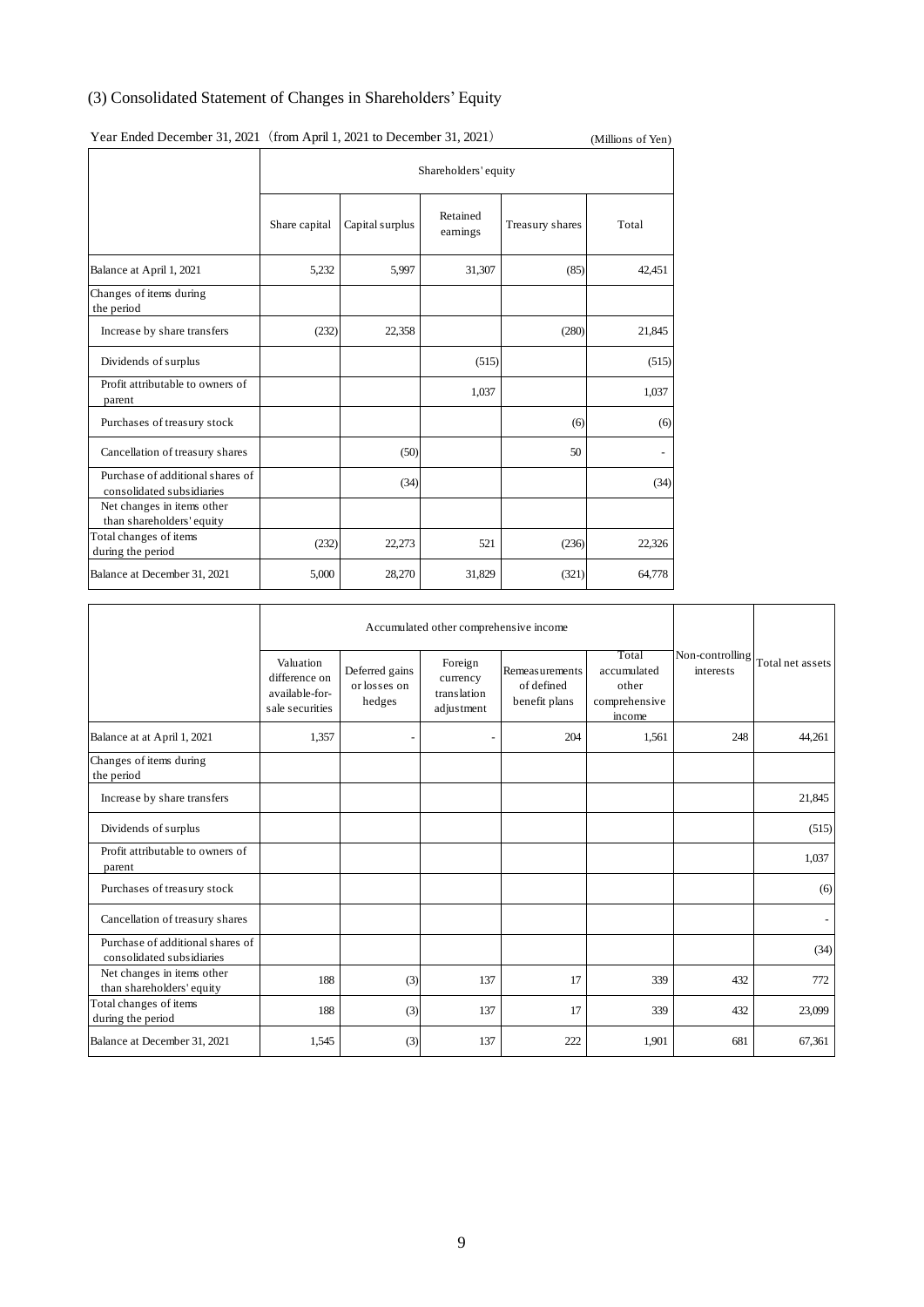## (3) Consolidated Statement of Changes in Shareholders' Equity

|                                                               | rear Ended December 31, 2021 (from April 1, 2021 to December 31, 2021)<br>(Millions of Yen) |                      |                      |                 |        |  |  |  |  |  |  |
|---------------------------------------------------------------|---------------------------------------------------------------------------------------------|----------------------|----------------------|-----------------|--------|--|--|--|--|--|--|
|                                                               |                                                                                             | Shareholders' equity |                      |                 |        |  |  |  |  |  |  |
|                                                               | Share capital                                                                               | Capital surplus      | Retained<br>earnings | Treasury shares | Total  |  |  |  |  |  |  |
| Balance at April 1, 2021                                      | 5,232                                                                                       | 5,997                | 31,307               | (85)            | 42,451 |  |  |  |  |  |  |
| Changes of items during<br>the period                         |                                                                                             |                      |                      |                 |        |  |  |  |  |  |  |
| Increase by share transfers                                   | (232)                                                                                       | 22,358               |                      | (280)           | 21,845 |  |  |  |  |  |  |
| Dividends of surplus                                          |                                                                                             |                      | (515)                |                 | (515)  |  |  |  |  |  |  |
| Profit attributable to owners of<br>parent                    |                                                                                             |                      | 1,037                |                 | 1,037  |  |  |  |  |  |  |
| Purchases of treasury stock                                   |                                                                                             |                      |                      | (6)             | (6)    |  |  |  |  |  |  |
| Cancellation of treasury shares                               |                                                                                             | (50)                 |                      | 50              |        |  |  |  |  |  |  |
| Purchase of additional shares of<br>consolidated subsidiaries |                                                                                             | (34)                 |                      |                 | (34)   |  |  |  |  |  |  |
| Net changes in items other<br>than shareholders' equity       |                                                                                             |                      |                      |                 |        |  |  |  |  |  |  |
| Total changes of items<br>during the period                   | (232)                                                                                       | 22,273               | 521                  | (236)           | 22,326 |  |  |  |  |  |  |
| Balance at December 31, 2021                                  | 5,000                                                                                       | 28,270               | 31,829               | (321)           | 64,778 |  |  |  |  |  |  |

## Year Ended December 31, 2021 (from April 1, 2021 to December 31, 2021) (Millions of Yen)

|                                                               | Accumulated other comprehensive income                          |                                          |                                                  |                                               |                                                          |                              |                  |
|---------------------------------------------------------------|-----------------------------------------------------------------|------------------------------------------|--------------------------------------------------|-----------------------------------------------|----------------------------------------------------------|------------------------------|------------------|
|                                                               | Valuation<br>difference on<br>available-for-<br>sale securities | Deferred gains<br>or losses on<br>hedges | Foreign<br>currency<br>translation<br>adjustment | Remeasurements<br>of defined<br>benefit plans | Total<br>accumulated<br>other<br>comprehensive<br>income | Non-controlling<br>interests | Total net assets |
| Balance at at April 1, 2021                                   | 1,357                                                           | -                                        |                                                  | 204                                           | 1,561                                                    | 248                          | 44,261           |
| Changes of items during<br>the period                         |                                                                 |                                          |                                                  |                                               |                                                          |                              |                  |
| Increase by share transfers                                   |                                                                 |                                          |                                                  |                                               |                                                          |                              | 21,845           |
| Dividends of surplus                                          |                                                                 |                                          |                                                  |                                               |                                                          |                              | (515)            |
| Profit attributable to owners of<br>parent                    |                                                                 |                                          |                                                  |                                               |                                                          |                              | 1,037            |
| Purchases of treasury stock                                   |                                                                 |                                          |                                                  |                                               |                                                          |                              | (6)              |
| Cancellation of treasury shares                               |                                                                 |                                          |                                                  |                                               |                                                          |                              |                  |
| Purchase of additional shares of<br>consolidated subsidiaries |                                                                 |                                          |                                                  |                                               |                                                          |                              | (34)             |
| Net changes in items other<br>than shareholders' equity       | 188                                                             | (3)                                      | 137                                              | 17                                            | 339                                                      | 432                          | 772              |
| Total changes of items<br>during the period                   | 188                                                             | (3)                                      | 137                                              | 17                                            | 339                                                      | 432                          | 23,099           |
| Balance at December 31, 2021                                  | 1,545                                                           | (3)                                      | 137                                              | 222                                           | 1,901                                                    | 681                          | 67,361           |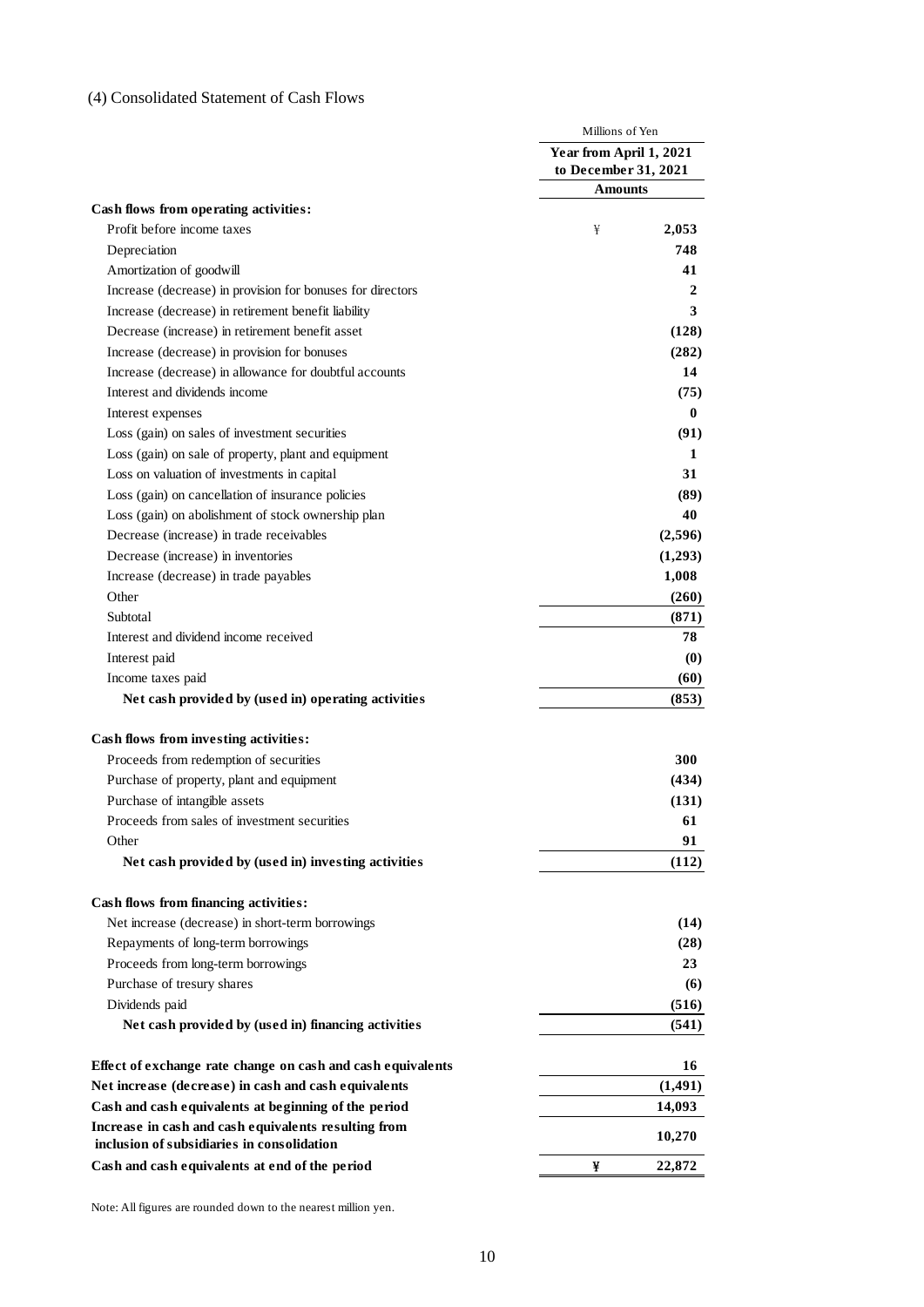## (4) Consolidated Statement of Cash Flows

|                                                                                                    | Millions of Yen                                 |
|----------------------------------------------------------------------------------------------------|-------------------------------------------------|
|                                                                                                    | Year from April 1, 2021<br>to December 31, 2021 |
|                                                                                                    | <b>Amounts</b>                                  |
| Cash flows from operating activities:                                                              |                                                 |
| Profit before income taxes                                                                         | 2,053<br>¥                                      |
| Depreciation                                                                                       | 748                                             |
| Amortization of goodwill                                                                           | 41                                              |
| Increase (decrease) in provision for bonuses for directors                                         | 2                                               |
| Increase (decrease) in retirement benefit liability                                                | 3                                               |
| Decrease (increase) in retirement benefit asset                                                    | (128)                                           |
| Increase (decrease) in provision for bonuses                                                       | (282)                                           |
| Increase (decrease) in allowance for doubtful accounts                                             | 14                                              |
| Interest and dividends income                                                                      | (75)                                            |
| Interest expenses                                                                                  | $\bf{0}$                                        |
| Loss (gain) on sales of investment securities                                                      | (91)                                            |
| Loss (gain) on sale of property, plant and equipment                                               | 1                                               |
| Loss on valuation of investments in capital                                                        | 31                                              |
| Loss (gain) on cancellation of insurance policies                                                  | (89)                                            |
| Loss (gain) on abolishment of stock ownership plan                                                 | 40                                              |
| Decrease (increase) in trade receivables                                                           | (2,596)                                         |
| Decrease (increase) in inventories                                                                 | (1,293)                                         |
| Increase (decrease) in trade payables                                                              | 1,008                                           |
| Other                                                                                              | (260)                                           |
| Subtotal                                                                                           | (871)                                           |
| Interest and dividend income received                                                              | 78                                              |
| Interest paid                                                                                      | $\boldsymbol{\left(0\right)}$                   |
| Income taxes paid                                                                                  | (60)                                            |
| Net cash provided by (used in) operating activities                                                | (853)                                           |
|                                                                                                    |                                                 |
| Cash flows from investing activities:                                                              |                                                 |
| Proceeds from redemption of securities                                                             | 300                                             |
| Purchase of property, plant and equipment                                                          | (434)                                           |
| Purchase of intangible assets                                                                      | (131)                                           |
| Proceeds from sales of investment securities                                                       | 61                                              |
| Other                                                                                              | 91                                              |
| Net cash provided by (used in) investing activities                                                | (112)                                           |
|                                                                                                    |                                                 |
| Cash flows from financing activities:                                                              |                                                 |
| Net increase (decrease) in short-term borrowings                                                   | (14)                                            |
| Repayments of long-term borrowings                                                                 | (28)<br>23                                      |
| Proceeds from long-term borrowings                                                                 |                                                 |
| Purchase of tresury shares                                                                         | (6)                                             |
| Dividends paid                                                                                     | (516)                                           |
| Net cash provided by (used in) financing activities                                                | (541)                                           |
| Effect of exchange rate change on cash and cash equivalents                                        | 16                                              |
| Net increase (decrease) in cash and cash equivalents                                               | (1, 491)                                        |
| Cash and cash equivalents at beginning of the period                                               | 14,093                                          |
| Increase in cash and cash equivalents resulting from<br>inclusion of subsidiaries in consolidation | 10,270                                          |
| Cash and cash equivalents at end of the period                                                     | 22,872<br>¥                                     |
|                                                                                                    |                                                 |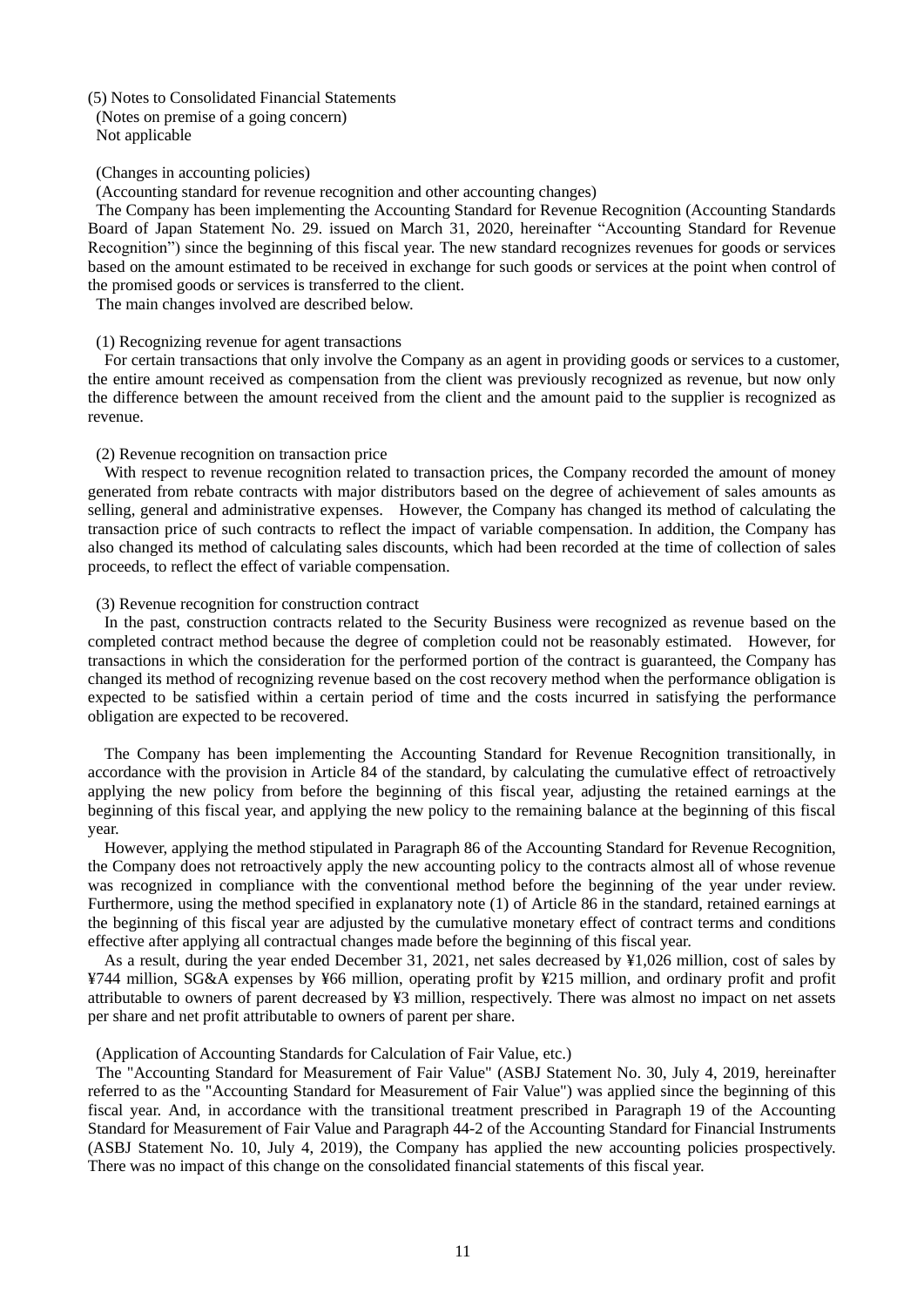### (5) Notes to Consolidated Financial Statements

(Notes on premise of a going concern) Not applicable

#### (Changes in accounting policies)

(Accounting standard for revenue recognition and other accounting changes)

The Company has been implementing the Accounting Standard for Revenue Recognition (Accounting Standards Board of Japan Statement No. 29. issued on March 31, 2020, hereinafter "Accounting Standard for Revenue Recognition") since the beginning of this fiscal year. The new standard recognizes revenues for goods or services based on the amount estimated to be received in exchange for such goods or services at the point when control of the promised goods or services is transferred to the client.

The main changes involved are described below.

#### (1) Recognizing revenue for agent transactions

For certain transactions that only involve the Company as an agent in providing goods or services to a customer, the entire amount received as compensation from the client was previously recognized as revenue, but now only the difference between the amount received from the client and the amount paid to the supplier is recognized as revenue.

### (2) Revenue recognition on transaction price

With respect to revenue recognition related to transaction prices, the Company recorded the amount of money generated from rebate contracts with major distributors based on the degree of achievement of sales amounts as selling, general and administrative expenses. However, the Company has changed its method of calculating the transaction price of such contracts to reflect the impact of variable compensation. In addition, the Company has also changed its method of calculating sales discounts, which had been recorded at the time of collection of sales proceeds, to reflect the effect of variable compensation.

#### (3) Revenue recognition for construction contract

In the past, construction contracts related to the Security Business were recognized as revenue based on the completed contract method because the degree of completion could not be reasonably estimated. However, for transactions in which the consideration for the performed portion of the contract is guaranteed, the Company has changed its method of recognizing revenue based on the cost recovery method when the performance obligation is expected to be satisfied within a certain period of time and the costs incurred in satisfying the performance obligation are expected to be recovered.

The Company has been implementing the Accounting Standard for Revenue Recognition transitionally, in accordance with the provision in Article 84 of the standard, by calculating the cumulative effect of retroactively applying the new policy from before the beginning of this fiscal year, adjusting the retained earnings at the beginning of this fiscal year, and applying the new policy to the remaining balance at the beginning of this fiscal year.

However, applying the method stipulated in Paragraph 86 of the Accounting Standard for Revenue Recognition, the Company does not retroactively apply the new accounting policy to the contracts almost all of whose revenue was recognized in compliance with the conventional method before the beginning of the year under review. Furthermore, using the method specified in explanatory note (1) of Article 86 in the standard, retained earnings at the beginning of this fiscal year are adjusted by the cumulative monetary effect of contract terms and conditions effective after applying all contractual changes made before the beginning of this fiscal year.

As a result, during the year ended December 31, 2021, net sales decreased by ¥1,026 million, cost of sales by ¥744 million, SG&A expenses by ¥66 million, operating profit by ¥215 million, and ordinary profit and profit attributable to owners of parent decreased by ¥3 million, respectively. There was almost no impact on net assets per share and net profit attributable to owners of parent per share.

#### (Application of Accounting Standards for Calculation of Fair Value, etc.)

The "Accounting Standard for Measurement of Fair Value" (ASBJ Statement No. 30, July 4, 2019, hereinafter referred to as the "Accounting Standard for Measurement of Fair Value") was applied since the beginning of this fiscal year. And, in accordance with the transitional treatment prescribed in Paragraph 19 of the Accounting Standard for Measurement of Fair Value and Paragraph 44-2 of the Accounting Standard for Financial Instruments (ASBJ Statement No. 10, July 4, 2019), the Company has applied the new accounting policies prospectively. There was no impact of this change on the consolidated financial statements of this fiscal year.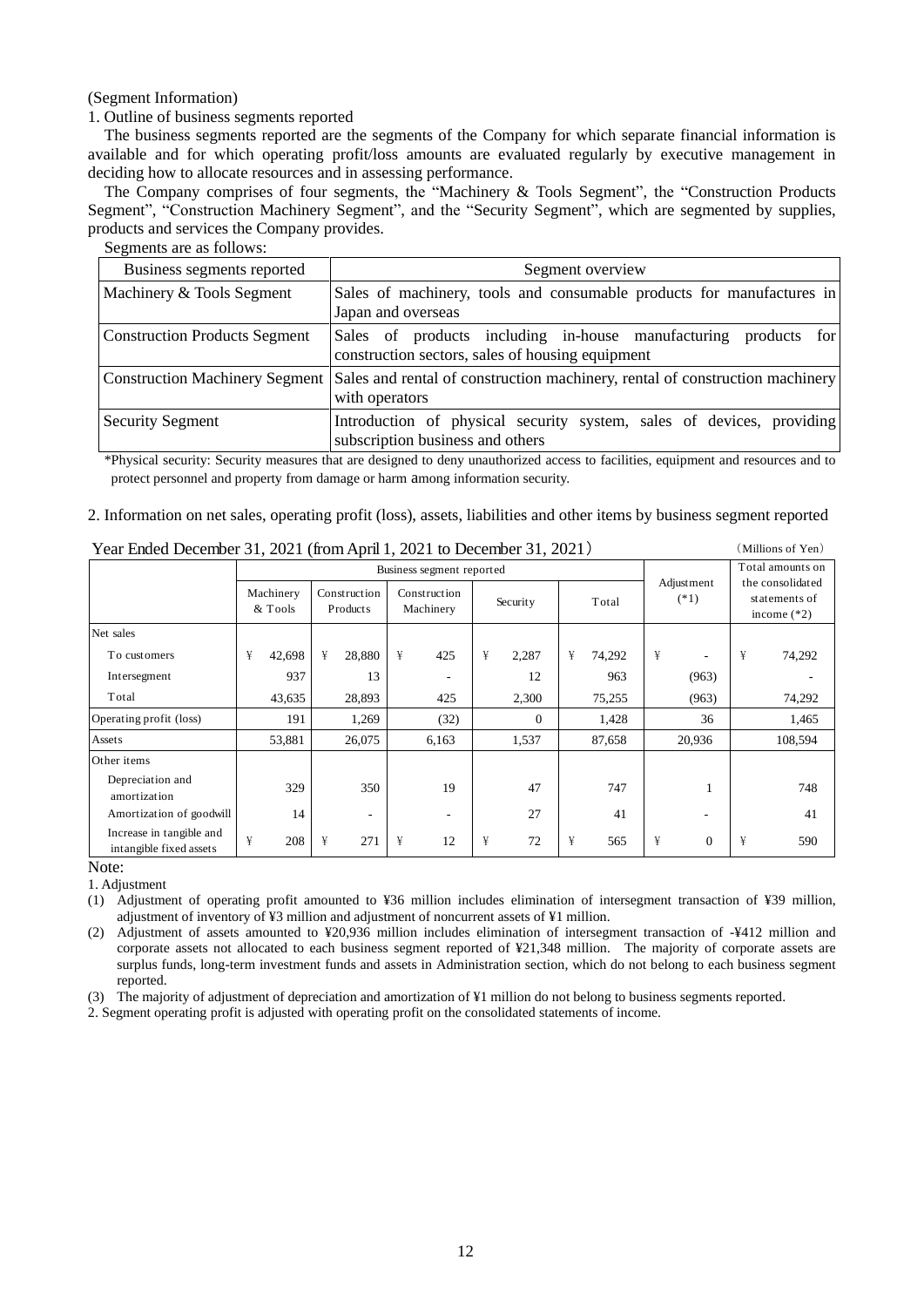(Segment Information)

## 1. Outline of business segments reported

The business segments reported are the segments of the Company for which separate financial information is available and for which operating profit/loss amounts are evaluated regularly by executive management in deciding how to allocate resources and in assessing performance.

The Company comprises of four segments, the "Machinery & Tools Segment", the "Construction Products Segment", "Construction Machinery Segment", and the "Security Segment", which are segmented by supplies, products and services the Company provides.

Segments are as follows:

| Business segments reported           | Segment overview                                                                                                              |  |  |  |  |  |  |
|--------------------------------------|-------------------------------------------------------------------------------------------------------------------------------|--|--|--|--|--|--|
| Machinery & Tools Segment            | Sales of machinery, tools and consumable products for manufactures in<br>Japan and overseas                                   |  |  |  |  |  |  |
| <b>Construction Products Segment</b> | Sales of products including in-house manufacturing products<br>for<br>construction sectors, sales of housing equipment        |  |  |  |  |  |  |
|                                      | Construction Machinery Segment Sales and rental of construction machinery, rental of construction machinery<br>with operators |  |  |  |  |  |  |
| <b>Security Segment</b>              | Introduction of physical security system, sales of devices, providing<br>subscription business and others                     |  |  |  |  |  |  |

\*Physical security: Security measures that are designed to deny unauthorized access to facilities, equipment and resources and to protect personnel and property from damage or harm among information security.

### 2. Information on net sales, operating profit (loss), assets, liabilities and other items by business segment reported

| $1$ can enter December 31, 2021 (from April 1, 2021 to December 31, 2021) |                           |                      |   |                          |   |                           |   | $\sum$   |   |        |                  |                      |   |                                                    |
|---------------------------------------------------------------------------|---------------------------|----------------------|---|--------------------------|---|---------------------------|---|----------|---|--------|------------------|----------------------|---|----------------------------------------------------|
|                                                                           | Business segment reported |                      |   |                          |   |                           |   |          |   |        | Total amounts on |                      |   |                                                    |
|                                                                           |                           | Machinery<br>& Tools |   | Construction<br>Products |   | Construction<br>Machinery |   | Security |   | Total  |                  | Adjustment<br>$(*1)$ |   | the consolidated<br>statements of<br>income $(*2)$ |
| Net sales                                                                 |                           |                      |   |                          |   |                           |   |          |   |        |                  |                      |   |                                                    |
| To customers                                                              | ¥                         | 42,698               | ¥ | 28,880                   | ¥ | 425                       | ¥ | 2,287    | ¥ | 74,292 | ¥                |                      | ¥ | 74,292                                             |
| Intersegment                                                              |                           | 937                  |   | 13                       |   |                           |   | 12       |   | 963    |                  | (963)                |   |                                                    |
| Total                                                                     |                           | 43,635               |   | 28,893                   |   | 425                       |   | 2,300    |   | 75,255 |                  | (963)                |   | 74,292                                             |
| Operating profit (loss)                                                   |                           | 191                  |   | 1,269                    |   | (32)                      |   | $\theta$ |   | 1,428  |                  | 36                   |   | 1,465                                              |
| Assets                                                                    |                           | 53,881               |   | 26,075                   |   | 6,163                     |   | 1,537    |   | 87,658 |                  | 20,936               |   | 108,594                                            |
| Other items                                                               |                           |                      |   |                          |   |                           |   |          |   |        |                  |                      |   |                                                    |
| Depreciation and<br>amortization                                          |                           | 329                  |   | 350                      |   | 19                        |   | 47       |   | 747    |                  |                      |   | 748                                                |
| Amortization of goodwill                                                  |                           | 14                   |   | ٠                        |   | ۰                         |   | 27       |   | 41     |                  |                      |   | 41                                                 |
| Increase in tangible and<br>intangible fixed assets                       | ¥                         | 208                  | ¥ | 271                      | ¥ | 12                        | ¥ | 72       | ¥ | 565    | ¥                | $\boldsymbol{0}$     | ¥ | 590                                                |

## Year Ended December 31, 2021 (from April 1, 2021 to December 31, 2021) (Millions of Yen)

Note:

1. Adjustment

(1) Adjustment of operating profit amounted to ¥36 million includes elimination of intersegment transaction of ¥39 million, adjustment of inventory of ¥3 million and adjustment of noncurrent assets of ¥1 million.

(2) Adjustment of assets amounted to ¥20,936 million includes elimination of intersegment transaction of -¥412 million and corporate assets not allocated to each business segment reported of ¥21,348 million. The majority of corporate assets are surplus funds, long-term investment funds and assets in Administration section, which do not belong to each business segment reported.

(3) The majority of adjustment of depreciation and amortization of ¥1 million do not belong to business segments reported.

2. Segment operating profit is adjusted with operating profit on the consolidated statements of income.